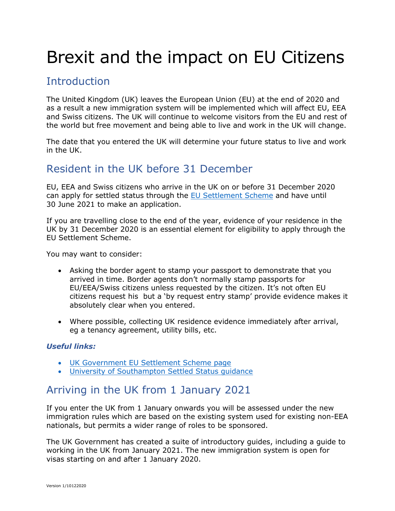# Brexit and the impact on EU Citizens

## **Introduction**

The United Kingdom (UK) leaves the European Union (EU) at the end of 2020 and as a result a new immigration system will be implemented which will affect EU, EEA and Swiss citizens. The UK will continue to welcome visitors from the EU and rest of the world but free movement and being able to live and work in the UK will change.

The date that you entered the UK will determine your future status to live and work in the UK.

## Resident in the UK before 31 December

EU, EEA and Swiss citizens who arrive in the UK on or before 31 December 2020 can apply for settled status through the  $E_{\text{U}}$  Settlement Scheme and have until 30 June 2021 to make an application.

If you are travelling close to the end of the year, evidence of your residence in the UK by 31 December 2020 is an essential element for eligibility to apply through the EU Settlement Scheme.

You may want to consider:

- Asking the border agent to stamp your passport to demonstrate that you arrived in time. Border agents don't normally stamp passports for EU/EEA/Swiss citizens unless requested by the citizen. It's not often EU citizens request his but a 'by request entry stamp' provide evidence makes it absolutely clear when you entered.
- Where possible, collecting UK residence evidence immediately after arrival, eg a tenancy agreement, utility bills, etc.

#### *Useful links:*

- [UK Government EU Settlement Scheme page](https://www.gov.uk/settled-status-eu-citizens-families)
- [University of Southampton Settled Status guidance](https://www.southampton.ac.uk/hr/services/settled-status/settled-status.page)

## Arriving in the UK from 1 January 2021

If you enter the UK from 1 January onwards you will be assessed under the new immigration rules which are based on the existing system used for existing non-EEA nationals, but permits a wider range of roles to be sponsored.

The UK Government has created a suite of introductory guides, including a guide to working in the UK from January 2021. The new immigration system is open for visas starting on and after 1 January 2020.